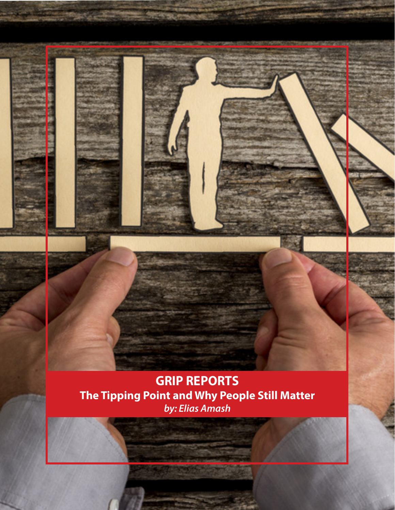

*by: Elias Amash*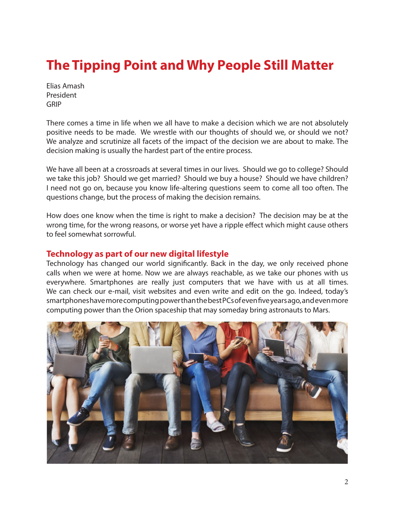# **The Tipping Point and Why People Still Matter**

Elias Amash President GRIP

There comes a time in life when we all have to make a decision which we are not absolutely positive needs to be made. We wrestle with our thoughts of should we, or should we not? We analyze and scrutinize all facets of the impact of the decision we are about to make. The decision making is usually the hardest part of the entire process.

We have all been at a crossroads at several times in our lives. Should we go to college? Should we take this job? Should we get married? Should we buy a house? Should we have children? I need not go on, because you know life-altering questions seem to come all too often. The questions change, but the process of making the decision remains.

How does one know when the time is right to make a decision? The decision may be at the wrong time, for the wrong reasons, or worse yet have a ripple effect which might cause others to feel somewhat sorrowful.

### **Technology as part of our new digital lifestyle**

Technology has changed our world significantly. Back in the day, we only received phone calls when we were at home. Now we are always reachable, as we take our phones with us everywhere. Smartphones are really just computers that we have with us at all times. We can check our e-mail, visit websites and even write and edit on the go. Indeed, today's smartphones have more computing power than the best PCs of even five years ago, and even more computing power than the Orion spaceship that may someday bring astronauts to Mars.

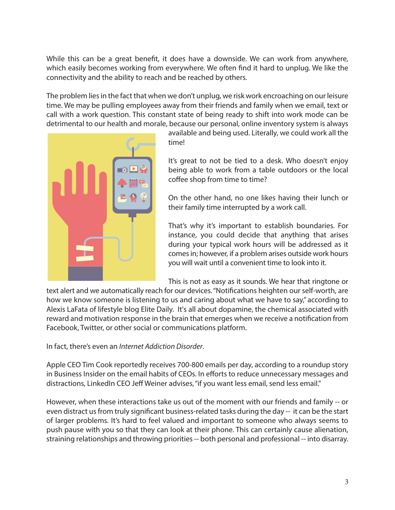While this can be a great benefit, it does have a downside. We can work from anywhere, which easily becomes working from everywhere. We often find it hard to unplug. We like the connectivity and the ability to reach and be reached by others.

The problem lies in the fact that when we don't unplug, we risk work encroaching on our leisure time. We may be pulling employees away from their friends and family when we email, text or call with a work question. This constant state of being ready to shift into work mode can be detrimental to our health and morale, because our personal, online inventory system is always



available and being used. Literally, we could work all the time!

It's great to not be tied to a desk. Who doesn't enjoy being able to work from a table outdoors or the local coffee shop from time to time?

On the other hand, no one likes having their lunch or their family time interrupted by a work call.

That's why it's important to establish boundaries. For instance, you could decide that anything that arises during your typical work hours will be addressed as it comes in; however, if a problem arises outside work hours you will wait until a convenient time to look into it.

This is not as easy as it sounds. We hear that ringtone or

text alert and we automatically reach for our devices. "Notifications heighten our self-worth, are how we know someone is listening to us and caring about what we have to say," according to Alexis LaFata of lifestyle blog Elite Daily. It's all about dopamine, the chemical associated with reward and motivation response in the brain that emerges when we receive a notification from Facebook, Twitter, or other social or communications platform.

In fact, there's even an *Internet Addiction Disorder*.

Apple CEO Tim Cook reportedly receives 700-800 emails per day, according to a roundup story in Business Insider on the email habits of CEOs. In efforts to reduce unnecessary messages and distractions, LinkedIn CEO Jeff Weiner advises, "if you want less email, send less email."

However, when these interactions take us out of the moment with our friends and family -- or even distract us from truly significant business-related tasks during the day -- it can be the start of larger problems. It's hard to feel valued and important to someone who always seems to push pause with you so that they can look at their phone. This can certainly cause alienation, straining relationships and throwing priorities -- both personal and professional -- into disarray.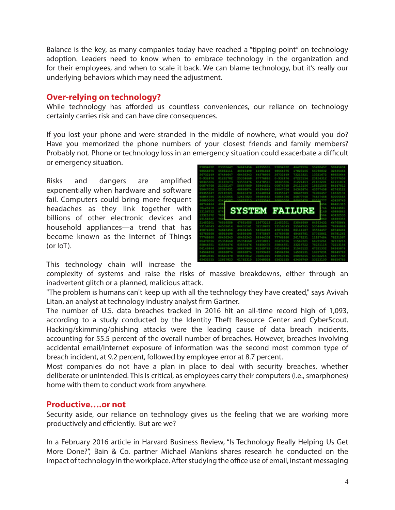Balance is the key, as many companies today have reached a "tipping point" on technology adoption. Leaders need to know when to embrace technology in the organization and for their employees, and when to scale it back. We can blame technology, but it's really our underlying behaviors which may need the adjustment.

## **Over-relying on technology?**

While technology has afforded us countless conveniences, our reliance on technology certainly carries risk and can have dire consequences.

If you lost your phone and were stranded in the middle of nowhere, what would you do? Have you memorized the phone numbers of your closest friends and family members? Probably not. Phone or technology loss in an emergency situation could exacerbate a difficult or emergency situation.

Risks and dangers are amplified exponentially when hardware and software fail. Computers could bring more frequent headaches as they link together with billions of other electronic devices and household appliances—a trend that has become known as the Internet of Things (or IoT).

| -932476<br>25354668<br>23154312<br>81261782<br>$0 - 932476$<br>67223154<br>87776886<br>65478516<br>31221453<br>21453201<br>8345656<br>33335673<br>93556476<br>98345456<br>58647869<br>55844551<br>00874768<br>20113156<br>18831565<br>0874768<br>21332167<br>55647016<br>22315431<br>61494643<br>43577458<br>5647016<br>63366874<br>54345874<br>9355647<br>22145321<br>34610472<br>45448964<br>89355447<br>98645729<br>74986457<br>5000654<br>5864786<br>74457458<br>11500065<br>12617823<br>98484563<br>65444786<br>54877143<br><b><i>ANDRUAR</i></b><br>04110000<br><b>GENERATS</b><br><b>ALCOHOL:</b><br>4345874<br>6880006<br>a an<br>49<br>8642151<br>8748464<br>t.<br><b>SYSTEM FAILURE</b><br>154<br>6543458<br>1126171<br>4988684<br>3156732<br>m<br>6343253<br><b>ANDROIS</b><br>4668335<br>8154312<br>6476586<br>78516558<br>15673213<br>21453201<br>1453201<br>47851655<br>53546689<br>84563432<br>7869688<br>53546689<br>3156543<br>44551614<br>84455161<br>32110672<br>13154543<br>35564765<br>5874986<br>94643456<br>49464345<br>86111187<br>33564457<br>64564868<br>45874986<br>64896498<br>48464781<br>57765861<br>5789568<br>48916498<br>57875867<br>45789568<br>68456343<br>68456343<br>88944334<br>7768860<br>26178231<br>11187484<br>77768860<br>3213121<br>5478516<br>25354668<br>25354668<br>21010011<br>65478516<br>11567321<br>64781261<br>93556476<br>93556476<br>55844551<br>5844551<br>56456475<br>33216722<br>78231115<br>6149464<br>51657969<br>53547869<br>61249765<br>06249464<br>31543122<br>67321332<br>9864578<br><b>CITIZENTS</b><br>43344874<br>91091415<br>34564896<br>a an Sala<br>10727231<br>4564896<br>84647812<br>5687376<br>9860845<br>94610478<br>39201010<br>49840845<br>50006545<br>54312214<br>31213130<br>1412513<br>12312123<br>313112311<br>10041974<br>63432535<br>43458749<br>8665478 |  |  |  |         |
|-------------------------------------------------------------------------------------------------------------------------------------------------------------------------------------------------------------------------------------------------------------------------------------------------------------------------------------------------------------------------------------------------------------------------------------------------------------------------------------------------------------------------------------------------------------------------------------------------------------------------------------------------------------------------------------------------------------------------------------------------------------------------------------------------------------------------------------------------------------------------------------------------------------------------------------------------------------------------------------------------------------------------------------------------------------------------------------------------------------------------------------------------------------------------------------------------------------------------------------------------------------------------------------------------------------------------------------------------------------------------------------------------------------------------------------------------------------------------------------------------------------------------------------------------------------------------------------------------------------------------------------------------------------------------------------------------------------------------------------------------------------------------------------------------------------------------------------------|--|--|--|---------|
|                                                                                                                                                                                                                                                                                                                                                                                                                                                                                                                                                                                                                                                                                                                                                                                                                                                                                                                                                                                                                                                                                                                                                                                                                                                                                                                                                                                                                                                                                                                                                                                                                                                                                                                                                                                                                                           |  |  |  | 5757765 |
|                                                                                                                                                                                                                                                                                                                                                                                                                                                                                                                                                                                                                                                                                                                                                                                                                                                                                                                                                                                                                                                                                                                                                                                                                                                                                                                                                                                                                                                                                                                                                                                                                                                                                                                                                                                                                                           |  |  |  | 6111187 |
|                                                                                                                                                                                                                                                                                                                                                                                                                                                                                                                                                                                                                                                                                                                                                                                                                                                                                                                                                                                                                                                                                                                                                                                                                                                                                                                                                                                                                                                                                                                                                                                                                                                                                                                                                                                                                                           |  |  |  | 8464781 |
|                                                                                                                                                                                                                                                                                                                                                                                                                                                                                                                                                                                                                                                                                                                                                                                                                                                                                                                                                                                                                                                                                                                                                                                                                                                                                                                                                                                                                                                                                                                                                                                                                                                                                                                                                                                                                                           |  |  |  | 6174312 |
|                                                                                                                                                                                                                                                                                                                                                                                                                                                                                                                                                                                                                                                                                                                                                                                                                                                                                                                                                                                                                                                                                                                                                                                                                                                                                                                                                                                                                                                                                                                                                                                                                                                                                                                                                                                                                                           |  |  |  | 1453213 |
|                                                                                                                                                                                                                                                                                                                                                                                                                                                                                                                                                                                                                                                                                                                                                                                                                                                                                                                                                                                                                                                                                                                                                                                                                                                                                                                                                                                                                                                                                                                                                                                                                                                                                                                                                                                                                                           |  |  |  |         |
|                                                                                                                                                                                                                                                                                                                                                                                                                                                                                                                                                                                                                                                                                                                                                                                                                                                                                                                                                                                                                                                                                                                                                                                                                                                                                                                                                                                                                                                                                                                                                                                                                                                                                                                                                                                                                                           |  |  |  |         |
|                                                                                                                                                                                                                                                                                                                                                                                                                                                                                                                                                                                                                                                                                                                                                                                                                                                                                                                                                                                                                                                                                                                                                                                                                                                                                                                                                                                                                                                                                                                                                                                                                                                                                                                                                                                                                                           |  |  |  |         |
|                                                                                                                                                                                                                                                                                                                                                                                                                                                                                                                                                                                                                                                                                                                                                                                                                                                                                                                                                                                                                                                                                                                                                                                                                                                                                                                                                                                                                                                                                                                                                                                                                                                                                                                                                                                                                                           |  |  |  |         |
|                                                                                                                                                                                                                                                                                                                                                                                                                                                                                                                                                                                                                                                                                                                                                                                                                                                                                                                                                                                                                                                                                                                                                                                                                                                                                                                                                                                                                                                                                                                                                                                                                                                                                                                                                                                                                                           |  |  |  |         |
|                                                                                                                                                                                                                                                                                                                                                                                                                                                                                                                                                                                                                                                                                                                                                                                                                                                                                                                                                                                                                                                                                                                                                                                                                                                                                                                                                                                                                                                                                                                                                                                                                                                                                                                                                                                                                                           |  |  |  |         |
|                                                                                                                                                                                                                                                                                                                                                                                                                                                                                                                                                                                                                                                                                                                                                                                                                                                                                                                                                                                                                                                                                                                                                                                                                                                                                                                                                                                                                                                                                                                                                                                                                                                                                                                                                                                                                                           |  |  |  |         |
|                                                                                                                                                                                                                                                                                                                                                                                                                                                                                                                                                                                                                                                                                                                                                                                                                                                                                                                                                                                                                                                                                                                                                                                                                                                                                                                                                                                                                                                                                                                                                                                                                                                                                                                                                                                                                                           |  |  |  |         |
|                                                                                                                                                                                                                                                                                                                                                                                                                                                                                                                                                                                                                                                                                                                                                                                                                                                                                                                                                                                                                                                                                                                                                                                                                                                                                                                                                                                                                                                                                                                                                                                                                                                                                                                                                                                                                                           |  |  |  |         |
|                                                                                                                                                                                                                                                                                                                                                                                                                                                                                                                                                                                                                                                                                                                                                                                                                                                                                                                                                                                                                                                                                                                                                                                                                                                                                                                                                                                                                                                                                                                                                                                                                                                                                                                                                                                                                                           |  |  |  |         |
|                                                                                                                                                                                                                                                                                                                                                                                                                                                                                                                                                                                                                                                                                                                                                                                                                                                                                                                                                                                                                                                                                                                                                                                                                                                                                                                                                                                                                                                                                                                                                                                                                                                                                                                                                                                                                                           |  |  |  | 6874846 |
|                                                                                                                                                                                                                                                                                                                                                                                                                                                                                                                                                                                                                                                                                                                                                                                                                                                                                                                                                                                                                                                                                                                                                                                                                                                                                                                                                                                                                                                                                                                                                                                                                                                                                                                                                                                                                                           |  |  |  | 0478126 |
|                                                                                                                                                                                                                                                                                                                                                                                                                                                                                                                                                                                                                                                                                                                                                                                                                                                                                                                                                                                                                                                                                                                                                                                                                                                                                                                                                                                                                                                                                                                                                                                                                                                                                                                                                                                                                                           |  |  |  | 7823156 |
|                                                                                                                                                                                                                                                                                                                                                                                                                                                                                                                                                                                                                                                                                                                                                                                                                                                                                                                                                                                                                                                                                                                                                                                                                                                                                                                                                                                                                                                                                                                                                                                                                                                                                                                                                                                                                                           |  |  |  |         |
|                                                                                                                                                                                                                                                                                                                                                                                                                                                                                                                                                                                                                                                                                                                                                                                                                                                                                                                                                                                                                                                                                                                                                                                                                                                                                                                                                                                                                                                                                                                                                                                                                                                                                                                                                                                                                                           |  |  |  | 7221315 |
|                                                                                                                                                                                                                                                                                                                                                                                                                                                                                                                                                                                                                                                                                                                                                                                                                                                                                                                                                                                                                                                                                                                                                                                                                                                                                                                                                                                                                                                                                                                                                                                                                                                                                                                                                                                                                                           |  |  |  | 5434587 |
|                                                                                                                                                                                                                                                                                                                                                                                                                                                                                                                                                                                                                                                                                                                                                                                                                                                                                                                                                                                                                                                                                                                                                                                                                                                                                                                                                                                                                                                                                                                                                                                                                                                                                                                                                                                                                                           |  |  |  |         |
|                                                                                                                                                                                                                                                                                                                                                                                                                                                                                                                                                                                                                                                                                                                                                                                                                                                                                                                                                                                                                                                                                                                                                                                                                                                                                                                                                                                                                                                                                                                                                                                                                                                                                                                                                                                                                                           |  |  |  |         |
|                                                                                                                                                                                                                                                                                                                                                                                                                                                                                                                                                                                                                                                                                                                                                                                                                                                                                                                                                                                                                                                                                                                                                                                                                                                                                                                                                                                                                                                                                                                                                                                                                                                                                                                                                                                                                                           |  |  |  |         |
|                                                                                                                                                                                                                                                                                                                                                                                                                                                                                                                                                                                                                                                                                                                                                                                                                                                                                                                                                                                                                                                                                                                                                                                                                                                                                                                                                                                                                                                                                                                                                                                                                                                                                                                                                                                                                                           |  |  |  |         |

This technology chain will increase the

complexity of systems and raise the risks of massive breakdowns, either through an inadvertent glitch or a planned, malicious attack.

"The problem is humans can't keep up with all the technology they have created," says Avivah Litan, an analyst at technology industry analyst firm Gartner.

The number of U.S. data breaches tracked in 2016 hit an all-time record high of 1,093, according to a study conducted by the Identity Theft Resource Center and CyberScout. Hacking/skimming/phishing attacks were the leading cause of data breach incidents, accounting for 55.5 percent of the overall number of breaches. However, breaches involving accidental email/Internet exposure of information was the second most common type of breach incident, at 9.2 percent, followed by employee error at 8.7 percent.

Most companies do not have a plan in place to deal with security breaches, whether deliberate or unintended. This is critical, as employees carry their computers (i.e., smarphones) home with them to conduct work from anywhere.

### **Productive….or not**

Security aside, our reliance on technology gives us the feeling that we are working more productively and efficiently. But are we?

In a February 2016 article in Harvard Business Review, "Is Technology Really Helping Us Get More Done?", Bain & Co. partner Michael Mankins shares research he conducted on the impact of technology in the workplace. After studying the office use of email, instant messaging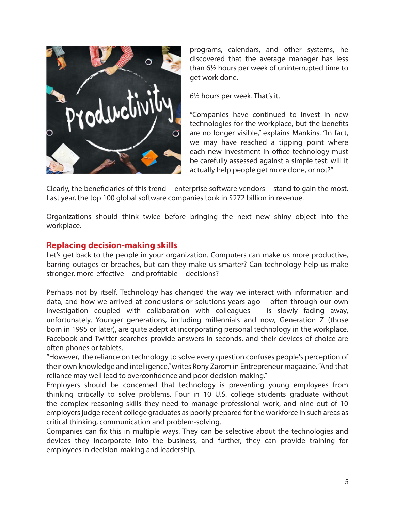

programs, calendars, and other systems, he discovered that the average manager has less than 6½ hours per week of uninterrupted time to get work done.

6½ hours per week. That's it.

"Companies have continued to invest in new technologies for the workplace, but the benefits are no longer visible," explains Mankins. "In fact, we may have reached a tipping point where each new investment in office technology must be carefully assessed against a simple test: will it actually help people get more done, or not?"

Clearly, the beneficiaries of this trend -- enterprise software vendors -- stand to gain the most. Last year, the top 100 global software companies took in \$272 billion in revenue.

Organizations should think twice before bringing the next new shiny object into the workplace.

# **Replacing decision-making skills**

Let's get back to the people in your organization. Computers can make us more productive, barring outages or breaches, but can they make us smarter? Can technology help us make stronger, more-effective -- and profitable -- decisions?

Perhaps not by itself. Technology has changed the way we interact with information and data, and how we arrived at conclusions or solutions years ago -- often through our own investigation coupled with collaboration with colleagues -- is slowly fading away, unfortunately. Younger generations, including millennials and now, Generation Z (those born in 1995 or later), are quite adept at incorporating personal technology in the workplace. Facebook and Twitter searches provide answers in seconds, and their devices of choice are often phones or tablets.

"However, the reliance on technology to solve every question confuses people's perception of their own knowledge and intelligence," writes Rony Zarom in Entrepreneur magazine. "And that reliance may well lead to overconfidence and poor decision-making."

Employers should be concerned that technology is preventing young employees from thinking critically to solve problems. Four in 10 U.S. college students graduate without the complex reasoning skills they need to manage professional work, and nine out of 10 employers judge recent college graduates as poorly prepared for the workforce in such areas as critical thinking, communication and problem-solving.

Companies can fix this in multiple ways. They can be selective about the technologies and devices they incorporate into the business, and further, they can provide training for employees in decision-making and leadership.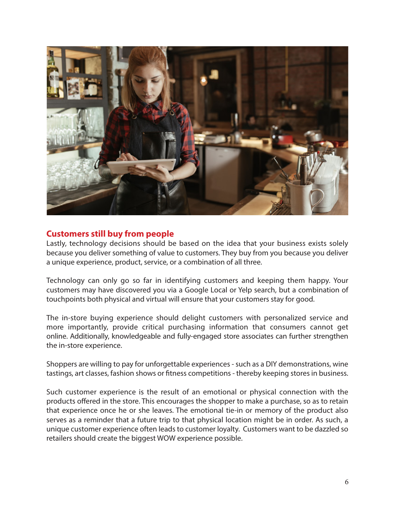

# **Customers still buy from people**

Lastly, technology decisions should be based on the idea that your business exists solely because you deliver something of value to customers. They buy from you because you deliver a unique experience, product, service, or a combination of all three.

Technology can only go so far in identifying customers and keeping them happy. Your customers may have discovered you via a Google Local or Yelp search, but a combination of touchpoints both physical and virtual will ensure that your customers stay for good.

The in-store buying experience should delight customers with personalized service and more importantly, provide critical purchasing information that consumers cannot get online. Additionally, knowledgeable and fully-engaged store associates can further strengthen the in-store experience.

Shoppers are willing to pay for unforgettable experiences - such as a DIY demonstrations, wine tastings, art classes, fashion shows or fitness competitions - thereby keeping stores in business.

Such customer experience is the result of an emotional or physical connection with the products offered in the store. This encourages the shopper to make a purchase, so as to retain that experience once he or she leaves. The emotional tie-in or memory of the product also serves as a reminder that a future trip to that physical location might be in order. As such, a unique customer experience often leads to customer loyalty. Customers want to be dazzled so retailers should create the biggest WOW experience possible.